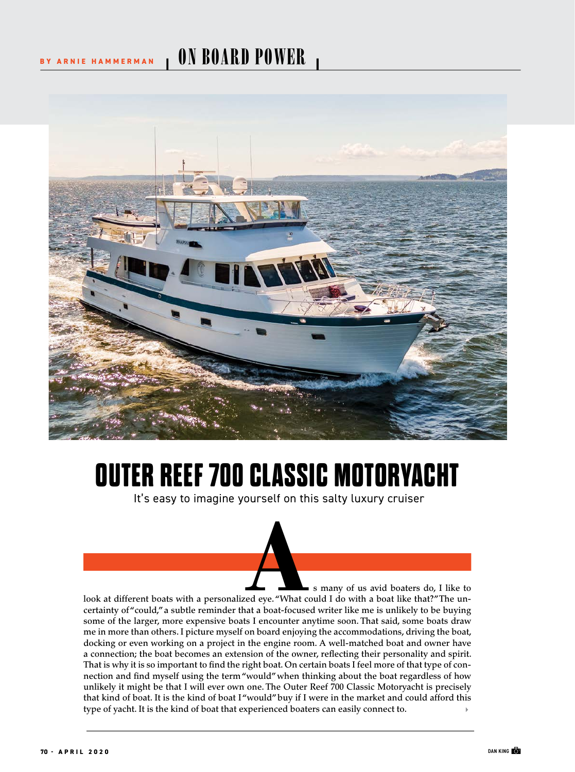## BY ARNIE HAMMERMAN **I ON BOARD POWER**



## **OUTER REEF 700 CLASSIC MOTORYACHT**

It's easy to imagine yourself on this salty luxury cruiser

s many of us avid boaters do, I like to s many of us avid boaters do, I like to<br>look at different boats with a personalized eye. "What could I do with a boat like that?" The un-<br>cortainty of "could" a subtle reminder that a boat focused writer like me is unlikel certainty of "could," a subtle reminder that a boat-focused writer like me is unlikely to be buying some of the larger, more expensive boats I encounter anytime soon. That said, some boats draw me in more than others. I picture myself on board enjoying the accommodations, driving the boat, docking or even working on a project in the engine room. A well-matched boat and owner have a connection; the boat becomes an extension of the owner, refecting their personality and spirit. That is why it is so important to fnd the right boat. On certain boats I feel more of that type of connection and fnd myself using the term "would" when thinking about the boat regardless of how unlikely it might be that I will ever own one. The Outer Reef 700 Classic Motoryacht is precisely that kind of boat. It is the kind of boat I "would" buy if I were in the market and could afford this type of yacht. It is the kind of boat that experienced boaters can easily connect to.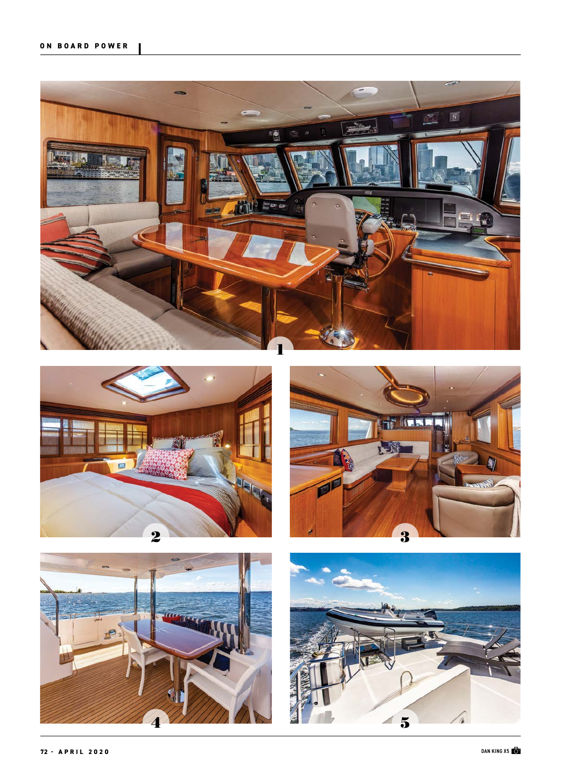







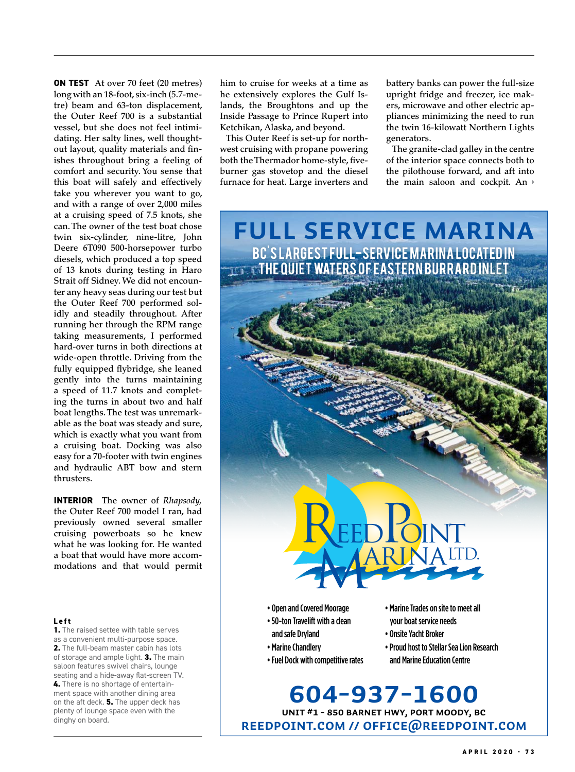**ON TEST** At over 70 feet (20 metres) long with an 18-foot, six-inch (5.7-metre) beam and 63-ton displacement, the Outer Reef 700 is a substantial vessel, but she does not feel intimidating. Her salty lines, well thoughtout layout, quality materials and fnishes throughout bring a feeling of comfort and security. You sense that this boat will safely and effectively take you wherever you want to go, and with a range of over 2,000 miles at a cruising speed of 7.5 knots, she can. The owner of the test boat chose twin six-cylinder, nine-litre, John Deere 6T090 500-horsepower turbo diesels, which produced a top speed of 13 knots during testing in Haro Strait off Sidney. We did not encounter any heavy seas during our test but the Outer Reef 700 performed solidly and steadily throughout. After running her through the RPM range taking measurements, I performed hard-over turns in both directions at wide-open throttle. Driving from the fully equipped fybridge, she leaned gently into the turns maintaining a speed of 11.7 knots and completing the turns in about two and half boat lengths. The test was unremarkable as the boat was steady and sure, which is exactly what you want from a cruising boat. Docking was also easy for a 70-footer with twin engines and hydraulic ABT bow and stern thrusters.

**INTERIOR** The owner of *Rhapsody,* the Outer Reef 700 model I ran, had previously owned several smaller cruising powerboats so he knew what he was looking for. He wanted a boat that would have more accommodations and that would permit

## **Left**

**1.** The raised settee with table serves as a convenient multi-purpose space. **2.** The full-beam master cabin has lots of storage and ample light. **3.** The main saloon features swivel chairs, lounge seating and a hide-away flat-screen TV. **4.** There is no shortage of entertainment space with another dining area on the aft deck. **5.** The upper deck has plenty of lounge space even with the dinghy on board.

him to cruise for weeks at a time as he extensively explores the Gulf Islands, the Broughtons and up the Inside Passage to Prince Rupert into Ketchikan, Alaska, and beyond.

This Outer Reef is set-up for northwest cruising with propane powering both the Thermador home-style, fiveburner gas stovetop and the diesel furnace for heat. Large inverters and battery banks can power the full-size upright fridge and freezer, ice makers, microwave and other electric appliances minimizing the need to run the twin 16-kilowatt Northern Lights generators.

The granite-clad galley in the centre of the interior space connects both to the pilothouse forward, and aft into the main saloon and cockpit. An

**Full service marina**

BC'S LARGEST FULL-SERVICE MARINA LOCATED IN

 $\textcolor{red}{\textbf{T}}$  et in equiet waters of Eastern Burrard Inlet



- 50-ton Travelift with a clean and safe Dryland
- Marine Chandlery
- Fuel Dock with competitive rates
- Marine Trades on site to meet all your boat service needs

arinaLTD.

IONT

- Onsite Yacht Broker
- Proud host to Stellar Sea Lion Research and Marine Education Centre

**reedpoint.com // offce@reedpoint.com Unit #1 - 850 Barnet Hwy, Port Moody, BC 604-937-1600**

EED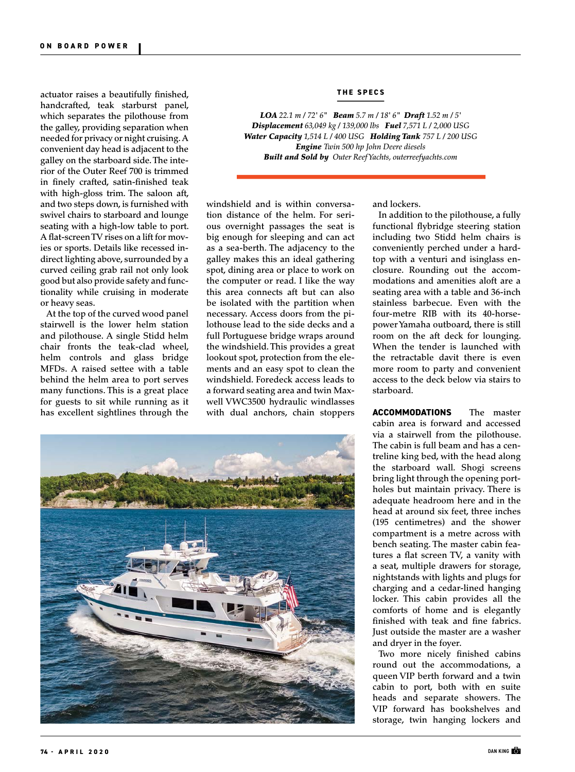actuator raises a beautifully fnished, **THE SPECS** handcrafted, teak starburst panel, which separates the pilothouse from the galley, providing separation when needed for privacy or night cruising. A convenient day head is adjacent to the galley on the starboard side. The interior of the Outer Reef 700 is trimmed in fnely crafted, satin-fnished teak with high-gloss trim. The saloon aft, and two steps down, is furnished with swivel chairs to starboard and lounge seating with a high-low table to port. A fat-screen TV rises on a lift for movies or sports. Details like recessed indirect lighting above, surrounded by a curved ceiling grab rail not only look good but also provide safety and functionality while cruising in moderate or heavy seas.

At the top of the curved wood panel stairwell is the lower helm station and pilothouse. A single Stidd helm chair fronts the teak-clad wheel, helm controls and glass bridge MFDs. A raised settee with a table behind the helm area to port serves many functions. This is a great place for guests to sit while running as it has excellent sightlines through the



*LOA 22.1 m / 72' 6" Beam 5.7 m / 18' 6" Draft 1.52 m / 5' Displacement 63,049 kg / 139,000 lbs Fuel 7,571 L / 2,000 USG Water Capacity 1,514 L / 400 USG Holding Tank 757 L / 200 USG Engine Twin 500 hp John Deere diesels Built and Sold by Outer Reef Yachts, outerreefyachts.com*

and lockers.

tion distance of the helm. For serious overnight passages the seat is big enough for sleeping and can act as a sea-berth. The adjacency to the galley makes this an ideal gathering spot, dining area or place to work on the computer or read. I like the way this area connects aft but can also be isolated with the partition when necessary. Access doors from the pilothouse lead to the side decks and a full Portuguese bridge wraps around the windshield. This provides a great lookout spot, protection from the elements and an easy spot to clean the windshield. Foredeck access leads to a forward seating area and twin Maxwell VWC3500 hydraulic windlasses with dual anchors, chain stoppers

windshield and is within conversa-



In addition to the pilothouse, a fully functional fybridge steering station including two Stidd helm chairs is conveniently perched under a hardtop with a venturi and isinglass enclosure. Rounding out the accommodations and amenities aloft are a seating area with a table and 36-inch stainless barbecue. Even with the four-metre RIB with its 40-horsepower Yamaha outboard, there is still room on the aft deck for lounging. When the tender is launched with the retractable davit there is even more room to party and convenient access to the deck below via stairs to starboard.

**ACCOMMODATIONS** The master cabin area is forward and accessed via a stairwell from the pilothouse. The cabin is full beam and has a centreline king bed, with the head along the starboard wall. Shogi screens bring light through the opening portholes but maintain privacy. There is adequate headroom here and in the head at around six feet, three inches (195 centimetres) and the shower compartment is a metre across with bench seating. The master cabin features a flat screen TV, a vanity with a seat, multiple drawers for storage, nightstands with lights and plugs for charging and a cedar-lined hanging locker. This cabin provides all the comforts of home and is elegantly finished with teak and fine fabrics. Just outside the master are a washer and dryer in the foyer.

Two more nicely finished cabins round out the accommodations, a queen VIP berth forward and a twin cabin to port, both with en suite heads and separate showers. The VIP forward has bookshelves and storage, twin hanging lockers and